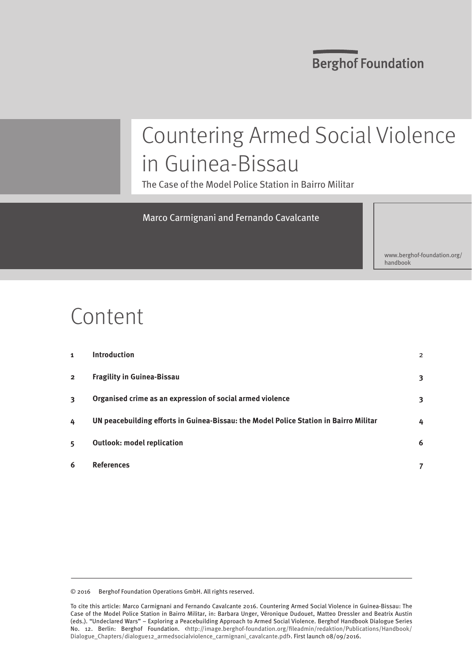### **Berghof Foundation**

# Countering Armed Social Violence in Guinea-Bissau

The Case of the Model Police Station in Bairro Militar

#### Marco Carmignani and Fernando Cavalcante

[www.berghof-foundation.org/](www.berghof-foundation.org/handbook) [handbook](www.berghof-foundation.org/handbook)

# Content

| 1              | <b>Introduction</b>                                                                   | $\overline{2}$ |
|----------------|---------------------------------------------------------------------------------------|----------------|
| $\overline{2}$ | <b>Fragility in Guinea-Bissau</b>                                                     | 3              |
| 3              | Organised crime as an expression of social armed violence                             | 3              |
| 4              | UN peacebuilding efforts in Guinea-Bissau: the Model Police Station in Bairro Militar | 4              |
| 5              | <b>Outlook: model replication</b>                                                     | 6              |
| 6              | <b>References</b>                                                                     |                |
|                |                                                                                       |                |

© 2016 Berghof Foundation Operations GmbH. All rights reserved.

To cite this article: Marco Carmignani and Fernando Cavalcante 2016. Countering Armed Social Violence in Guinea-Bissau: The Case of the Model Police Station in Bairro Militar, in: Barbara Unger, Véronique Dudouet, Matteo Dressler and Beatrix Austin (eds.). "Undeclared Wars" – Exploring a Peacebuilding Approach to Armed Social Violence. Berghof Handbook Dialogue Series No. 12. Berlin: Berghof Foundation. <[http://image.berghof-foundation.org/fileadmin/redaktion/Publications/Handbook/](http://image.berghof-foundation.org/fileadmin/redaktion/Publications/Handbook/Dialogue_Chapters/dialogue12_armedsocialviolence_lead.pdf) [Dialogue\\_Chapters/dialogue12\\_armedsocialviolence\\_carmignani\\_cavalcante.pdf>](http://image.berghof-foundation.org/fileadmin/redaktion/Publications/Handbook/Dialogue_Chapters/dialogue12_armedsocialviolence_lead.pdf). First launch 08/09/2016.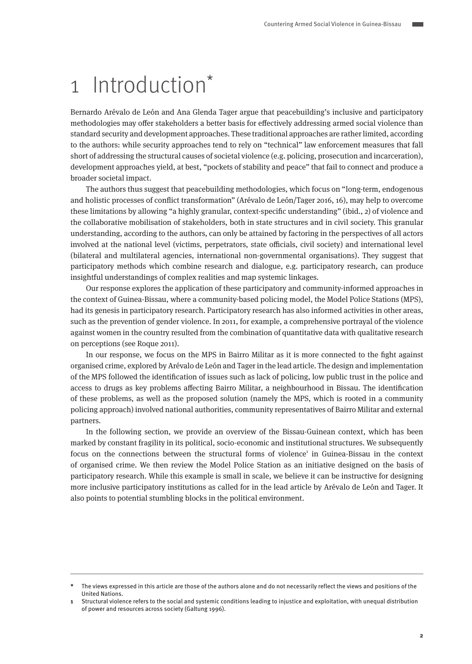### <span id="page-1-0"></span>1 Introduction\*

Bernardo Arévalo de León and Ana Glenda Tager argue that peacebuilding's inclusive and participatory methodologies may offer stakeholders a better basis for effectively addressing armed social violence than standard security and development approaches. These traditional approaches are rather limited, according to the authors: while security approaches tend to rely on "technical" law enforcement measures that fall short of addressing the structural causes of societal violence (e.g. policing, prosecution and incarceration), development approaches yield, at best, "pockets of stability and peace" that fail to connect and produce a broader societal impact.

The authors thus suggest that peacebuilding methodologies, which focus on "long-term, endogenous and holistic processes of conflict transformation" (Arévalo de León/Tager 2016, 16), may help to overcome these limitations by allowing "a highly granular, context-specific understanding" (ibid., 2) of violence and the collaborative mobilisation of stakeholders, both in state structures and in civil society. This granular understanding, according to the authors, can only be attained by factoring in the perspectives of all actors involved at the national level (victims, perpetrators, state officials, civil society) and international level (bilateral and multilateral agencies, international non-governmental organisations). They suggest that participatory methods which combine research and dialogue, e.g. participatory research, can produce insightful understandings of complex realities and map systemic linkages.

Our response explores the application of these participatory and community-informed approaches in the context of Guinea-Bissau, where a community-based policing model, the Model Police Stations (MPS), had its genesis in participatory research. Participatory research has also informed activities in other areas, such as the prevention of gender violence. In 2011, for example, a comprehensive portrayal of the violence against women in the country resulted from the combination of quantitative data with qualitative research on perceptions (see Roque 2011).

In our response, we focus on the MPS in Bairro Militar as it is more connected to the fight against organised crime, explored by Arévalo de León and Tager in the lead article. The design and implementation of the MPS followed the identification of issues such as lack of policing, low public trust in the police and access to drugs as key problems affecting Bairro Militar, a neighbourhood in Bissau. The identification of these problems, as well as the proposed solution (namely the MPS, which is rooted in a community policing approach) involved national authorities, community representatives of Bairro Militar and external partners.

In the following section, we provide an overview of the Bissau-Guinean context, which has been marked by constant fragility in its political, socio-economic and institutional structures. We subsequently focus on the connections between the structural forms of violence<sup>1</sup> in Guinea-Bissau in the context of organised crime. We then review the Model Police Station as an initiative designed on the basis of participatory research. While this example is small in scale, we believe it can be instructive for designing more inclusive participatory institutions as called for in the lead article by Arévalo de León and Tager. It also points to potential stumbling blocks in the political environment.

**<sup>\*</sup>** The views expressed in this article are those of the authors alone and do not necessarily reflect the views and positions of the United Nations.

**<sup>1</sup>** Structural violence refers to the social and systemic conditions leading to injustice and exploitation, with unequal distribution of power and resources across society (Galtung 1996).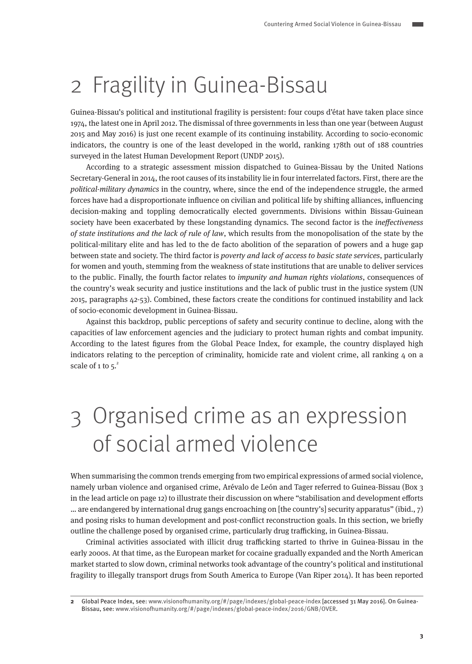# <span id="page-2-0"></span>2 Fragility in Guinea-Bissau

Guinea-Bissau's political and institutional fragility is persistent: four coups d'état have taken place since 1974, the latest one in April 2012. The dismissal of three governments in less than one year (between August 2015 and May 2016) is just one recent example of its continuing instability. According to socio-economic indicators, the country is one of the least developed in the world, ranking 178th out of 188 countries surveyed in the latest Human Development Report (UNDP 2015).

According to a strategic assessment mission dispatched to Guinea-Bissau by the United Nations Secretary-General in 2014, the root causes of its instability lie in four interrelated factors. First, there are the political-military dynamics in the country, where, since the end of the independence struggle, the armed forces have had a disproportionate influence on civilian and political life by shifting alliances, influencing decision-making and toppling democratically elected governments. Divisions within Bissau-Guinean society have been exacerbated by these longstanding dynamics. The second factor is the *ineffectiveness* of state institutions and the lack of rule of law, which results from the monopolisation of the state by the political-military elite and has led to the de facto abolition of the separation of powers and a huge gap between state and society. The third factor is *poverty and lack of access to basic state services*, particularly for women and youth, stemming from the weakness of state institutions that are unable to deliver services to the public. Finally, the fourth factor relates to *impunity and human rights violations*, consequences of the country's weak security and justice institutions and the lack of public trust in the justice system (UN 2015, paragraphs 42-53). Combined, these factors create the conditions for continued instability and lack of socio-economic development in Guinea-Bissau.

Against this backdrop, public perceptions of safety and security continue to decline, along with the capacities of law enforcement agencies and the judiciary to protect human rights and combat impunity. According to the latest figures from the Global Peace Index, for example, the country displayed high indicators relating to the perception of criminality, homicide rate and violent crime, all ranking 4 on a scale of 1 to  $5<sup>2</sup>$ 

# 3 Organised crime as an expression of social armed violence

When summarising the common trends emerging from two empirical expressions of armed social violence, namely urban violence and organised crime, Arévalo de León and Tager referred to Guinea-Bissau (Box 3 in the lead article on page 12) to illustrate their discussion on where "stabilisation and development efforts … are endangered by international drug gangs encroaching on [the country's] security apparatus" (ibid., 7) and posing risks to human development and post-conflict reconstruction goals. In this section, we briefly outline the challenge posed by organised crime, particularly drug trafficking, in Guinea-Bissau.

Criminal activities associated with illicit drug trafficking started to thrive in Guinea-Bissau in the early 2000s. At that time, as the European market for cocaine gradually expanded and the North American market started to slow down, criminal networks took advantage of the country's political and institutional fragility to illegally transport drugs from South America to Europe (Van Riper 2014). It has been reported

**<sup>2</sup>** Global Peace Index, see: www.visionofhumanity.org/#/page/indexes/global-peace-index [accessed 31 May 2016]. On Guinea-Bissau, see: www.visionofhumanity.org/#/page/indexes/global-peace-index/2016/GNB/OVER.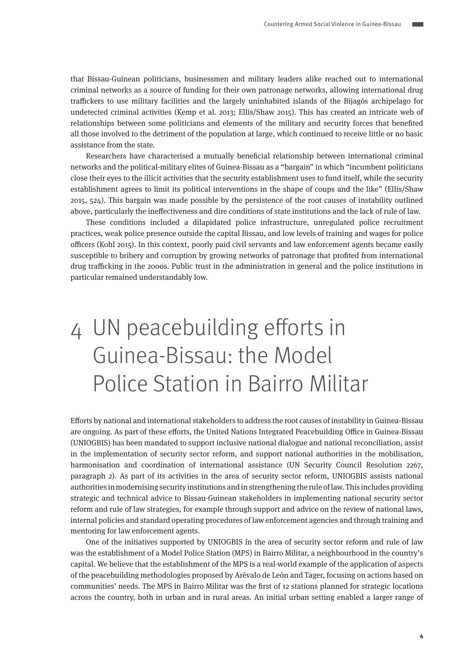<span id="page-3-0"></span>that Bissau-Guinean politicians, businessmen and military leaders alike reached out to international criminal networks as a source of funding for their own patronage networks, allowing international drug traffickers to use military facilities and the largely uninhabited islands of the Bijagós archipelago for undetected criminal activities (Kemp et al. 2013; Ellis/Shaw 2015). This has created an intricate web of relationships between some politicians and elements of the military and security forces that benefited all those involved to the detriment of the population at large, which continued to receive little or no basic assistance from the state.

Researchers have characterised a mutually beneficial relationship between international criminal networks and the political-military elites of Guinea-Bissau as a "bargain" in which "incumbent politicians close their eyes to the illicit activities that the security establishment uses to fund itself, while the security establishment agrees to limit its political interventions in the shape of coups and the like" (Ellis/Shaw 2015, 524). This bargain was made possible by the persistence of the root causes of instability outlined above, particularly the ineffectiveness and dire conditions of state institutions and the lack of rule of law.

These conditions included a dilapidated police infrastructure, unregulated police recruitment practices, weak police presence outside the capital Bissau, and low levels of training and wages for police officers (Kohl 2015). In this context, poorly paid civil servants and law enforcement agents became easily susceptible to bribery and corruption by growing networks of patronage that profited from international drug trafficking in the 2000s. Public trust in the administration in general and the police institutions in particular remained understandably low.

# 4 UN peacebuilding efforts in Guinea-Bissau: the Model Police Station in Bairro Militar

Efforts by national and international stakeholders to address the root causes of instability in Guinea-Bissau are ongoing. As part of these efforts, the United Nations Integrated Peacebuilding Office in Guinea-Bissau (UNIOGBIS) has been mandated to support inclusive national dialogue and national reconciliation, assist in the implementation of security sector reform, and support national authorities in the mobilisation, harmonisation and coordination of international assistance (UN Security Council Resolution 2267, paragraph 2). As part of its activities in the area of security sector reform, UNIOGBIS assists national authorities in modernising security institutions and in strengthening the rule of law. This includes providing strategic and technical advice to Bissau-Guinean stakeholders in implementing national security sector reform and rule of law strategies, for example through support and advice on the review of national laws, internal policies and standard operating procedures of law enforcement agencies and through training and mentoring for law enforcement agents.

One of the initiatives supported by UNIOGBIS in the area of security sector reform and rule of law was the establishment of a Model Police Station (MPS) in Bairro Militar, a neighbourhood in the country's capital. We believe that the establishment of the MPS is a real-world example of the application of aspects of the peacebuilding methodologies proposed by Arévalo de León and Tager, focusing on actions based on communities' needs. The MPS in Bairro Militar was the first of 12 stations planned for strategic locations across the country, both in urban and in rural areas. An initial urban setting enabled a larger range of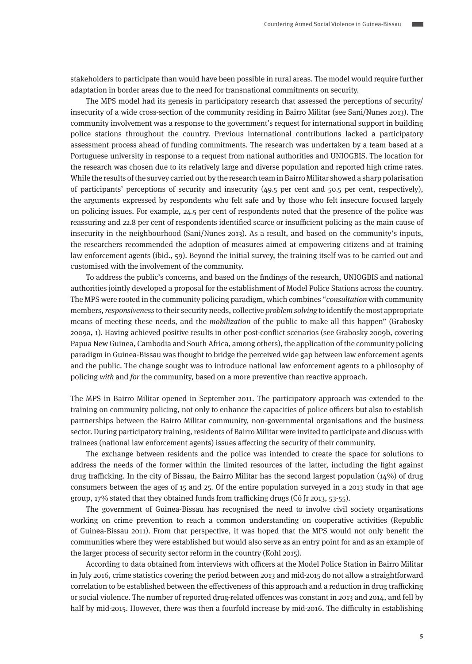stakeholders to participate than would have been possible in rural areas. The model would require further adaptation in border areas due to the need for transnational commitments on security.

The MPS model had its genesis in participatory research that assessed the perceptions of security/ insecurity of a wide cross-section of the community residing in Bairro Militar (see Sani/Nunes 2013). The community involvement was a response to the government's request for international support in building police stations throughout the country. Previous international contributions lacked a participatory assessment process ahead of funding commitments. The research was undertaken by a team based at a Portuguese university in response to a request from national authorities and UNIOGBIS. The location for the research was chosen due to its relatively large and diverse population and reported high crime rates. While the results of the survey carried out by the research team in Bairro Militar showed a sharp polarisation of participants' perceptions of security and insecurity (49.5 per cent and 50.5 per cent, respectively), the arguments expressed by respondents who felt safe and by those who felt insecure focused largely on policing issues. For example, 24.5 per cent of respondents noted that the presence of the police was reassuring and 22.8 per cent of respondents identified scarce or insufficient policing as the main cause of insecurity in the neighbourhood (Sani/Nunes 2013). As a result, and based on the community's inputs, the researchers recommended the adoption of measures aimed at empowering citizens and at training law enforcement agents (ibid., 59). Beyond the initial survey, the training itself was to be carried out and customised with the involvement of the community.

To address the public's concerns, and based on the findings of the research, UNIOGBIS and national authorities jointly developed a proposal for the establishment of Model Police Stations across the country. The MPS were rooted in the community policing paradigm, which combines "consultation with community members, responsiveness to their security needs, collective problem solving to identify the most appropriate means of meeting these needs, and the *mobilization* of the public to make all this happen" (Grabosky 2009a, 1). Having achieved positive results in other post-conflict scenarios (see Grabosky 2009b, covering Papua New Guinea, Cambodia and South Africa, among others), the application of the community policing paradigm in Guinea-Bissau was thought to bridge the perceived wide gap between law enforcement agents and the public. The change sought was to introduce national law enforcement agents to a philosophy of policing with and for the community, based on a more preventive than reactive approach.

The MPS in Bairro Militar opened in September 2011. The participatory approach was extended to the training on community policing, not only to enhance the capacities of police officers but also to establish partnerships between the Bairro Militar community, non-governmental organisations and the business sector. During participatory training, residents of Bairro Militar were invited to participate and discuss with trainees (national law enforcement agents) issues affecting the security of their community.

The exchange between residents and the police was intended to create the space for solutions to address the needs of the former within the limited resources of the latter, including the fight against drug trafficking. In the city of Bissau, the Bairro Militar has the second largest population (14%) of drug consumers between the ages of 15 and 25. Of the entire population surveyed in a 2013 study in that age group, 17% stated that they obtained funds from trafficking drugs (Có Jr 2013, 53-55).

The government of Guinea-Bissau has recognised the need to involve civil society organisations working on crime prevention to reach a common understanding on cooperative activities (Republic of Guinea-Bissau 2011). From that perspective, it was hoped that the MPS would not only benefit the communities where they were established but would also serve as an entry point for and as an example of the larger process of security sector reform in the country (Kohl 2015).

According to data obtained from interviews with officers at the Model Police Station in Bairro Militar in July 2016, crime statistics covering the period between 2013 and mid-2015 do not allow a straightforward correlation to be established between the effectiveness of this approach and a reduction in drug trafficking or social violence. The number of reported drug-related offences was constant in 2013 and 2014, and fell by half by mid-2015. However, there was then a fourfold increase by mid-2016. The difficulty in establishing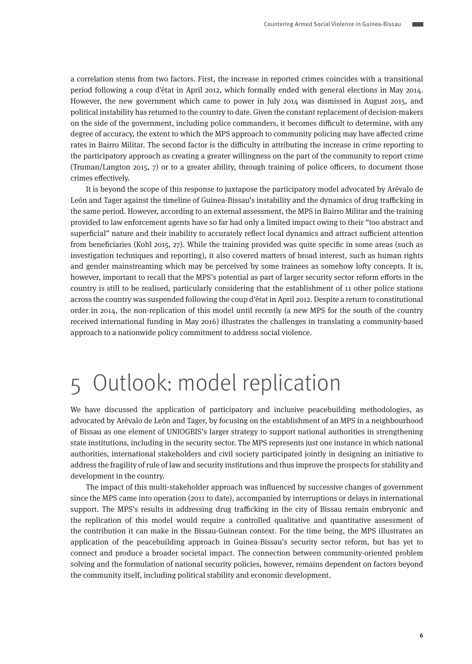<span id="page-5-0"></span>a correlation stems from two factors. First, the increase in reported crimes coincides with a transitional period following a coup d'état in April 2012, which formally ended with general elections in May 2014. However, the new government which came to power in July 2014 was dismissed in August 2015, and political instability has returned to the country to date. Given the constant replacement of decision-makers on the side of the government, including police commanders, it becomes difficult to determine, with any degree of accuracy, the extent to which the MPS approach to community policing may have affected crime rates in Bairro Militar. The second factor is the difficulty in attributing the increase in crime reporting to the participatory approach as creating a greater willingness on the part of the community to report crime (Truman/Langton 2015, 7) or to a greater ability, through training of police officers, to document those crimes effectively.

It is beyond the scope of this response to juxtapose the participatory model advocated by Arévalo de León and Tager against the timeline of Guinea-Bissau's instability and the dynamics of drug trafficking in the same period. However, according to an external assessment, the MPS in Bairro Militar and the training provided to law enforcement agents have so far had only a limited impact owing to their "too abstract and superficial" nature and their inability to accurately reflect local dynamics and attract sufficient attention from beneficiaries (Kohl 2015, 27). While the training provided was quite specific in some areas (such as investigation techniques and reporting), it also covered matters of broad interest, such as human rights and gender mainstreaming which may be perceived by some trainees as somehow lofty concepts. It is, however, important to recall that the MPS's potential as part of larger security sector reform efforts in the country is still to be realised, particularly considering that the establishment of 11 other police stations across the country was suspended following the coup d'état in April 2012. Despite a return to constitutional order in 2014, the non-replication of this model until recently (a new MPS for the south of the country received international funding in May 2016) illustrates the challenges in translating a community-based approach to a nationwide policy commitment to address social violence.

## 5 Outlook: model replication

We have discussed the application of participatory and inclusive peacebuilding methodologies, as advocated by Arévalo de León and Tager, by focusing on the establishment of an MPS in a neighbourhood of Bissau as one element of UNIOGBIS's larger strategy to support national authorities in strengthening state institutions, including in the security sector. The MPS represents just one instance in which national authorities, international stakeholders and civil society participated jointly in designing an initiative to address the fragility of rule of law and security institutions and thus improve the prospects for stability and development in the country.

The impact of this multi-stakeholder approach was influenced by successive changes of government since the MPS came into operation (2011 to date), accompanied by interruptions or delays in international support. The MPS's results in addressing drug trafficking in the city of Bissau remain embryonic and the replication of this model would require a controlled qualitative and quantitative assessment of the contribution it can make in the Bissau-Guinean context. For the time being, the MPS illustrates an application of the peacebuilding approach in Guinea-Bissau's security sector reform, but has yet to connect and produce a broader societal impact. The connection between community-oriented problem solving and the formulation of national security policies, however, remains dependent on factors beyond the community itself, including political stability and economic development.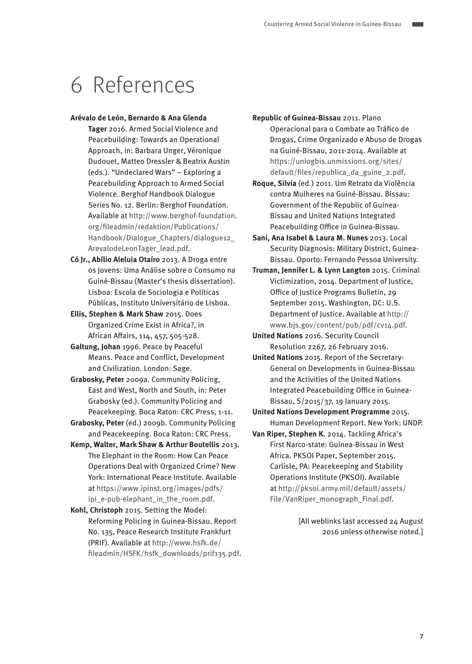### <span id="page-6-0"></span>6 References

#### **Arévalo de León, Bernardo & Ana Glenda**

- **Tager** 2016. Armed Social Violence and Peacebuilding: Towards an Operational Approach, in: Barbara Unger, Véronique Dudouet, Matteo Dressler & Beatrix Austin (eds.). "Undeclared Wars" – Exploring a Peacebuilding Approach to Armed Social Violence. Berghof Handbook Dialogue Series No. 12. Berlin: Berghof Foundation. Available at [http://www.berghof-foundation.](http://www.berghof-foundation.org/fileadmin/redaktion/Publications/Handbook/Dialogue_Chapters/dialogue12_ArevalodeLeonTager_lead.pdf) [org/fileadmin/redaktion/Publications/](http://www.berghof-foundation.org/fileadmin/redaktion/Publications/Handbook/Dialogue_Chapters/dialogue12_ArevalodeLeonTager_lead.pdf) [Handbook/Dialogue\\_Chapters/dialogue12\\_](http://www.berghof-foundation.org/fileadmin/redaktion/Publications/Handbook/Dialogue_Chapters/dialogue12_ArevalodeLeonTager_lead.pdf) [ArevalodeLeonTager\\_lead.pdf.](http://www.berghof-foundation.org/fileadmin/redaktion/Publications/Handbook/Dialogue_Chapters/dialogue12_ArevalodeLeonTager_lead.pdf)
- **Có Jr., Abílio Aleluia Otaíro** 2013. A Droga entre os Jovens: Uma Análise sobre o Consumo na Guiné-Bissau (Master's thesis dissertation). Lisboa: Escola de Sociologia e Políticas Públicas, Instituto Universitário de Lisboa.
- **Ellis, Stephen & Mark Shaw** 2015. Does Organized Crime Exist in Africa?, in African Affairs, 114, 457, 505-528.
- **Galtung, Johan** 1996. Peace by Peaceful Means. Peace and Conflict, Development and Civilization. London: Sage.
- **Grabosky, Peter** 2009a. Community Policing, East and West, North and South, in: Peter Grabosky (ed.). Community Policing and Peacekeeping. Boca Raton: CRC Press, 1-11.
- **Grabosky, Peter** (ed.) 2009b. Community Policing and Peacekeeping. Boca Raton: CRC Press.
- **Kemp, Walter, Mark Shaw & Arthur Boutellis** 2013. The Elephant in the Room: How Can Peace Operations Deal with Organized Crime? New York: International Peace Institute. Available at [https://www.ipinst.org/images/pdfs/](file:///\\BESRV01\Data\1%20Project%20Management\Berghof%20Handbook\Editing%20in%20Progress\DIALOGUE_Armed%20Social%20Violence\Respondents\Marco%20&%20Fernando\www.ipinst.org\images\pdfs\ipi_e-pub-elephant_in_the_room.pdf) [ipi\\_e-pub-elephant\\_in\\_the\\_room.pdf](file:///\\BESRV01\Data\1%20Project%20Management\Berghof%20Handbook\Editing%20in%20Progress\DIALOGUE_Armed%20Social%20Violence\Respondents\Marco%20&%20Fernando\www.ipinst.org\images\pdfs\ipi_e-pub-elephant_in_the_room.pdf).
- **Kohl, Christoph** 2015. Setting the Model: Reforming Policing in Guinea-Bissau. Report No. 135, Peace Research Institute Frankfurt (PRIF). Available at [http://www.hsfk.de/](file:///\\BESRV01\Data\1%20Project%20Management\Berghof%20Handbook\Editing%20in%20Progress\DIALOGUE_Armed%20Social%20Violence\Respondents\Marco%20&%20Fernando\www.hsfk.de\fileadmin\HSFK\hsfk_downloads\prif135.pdf) [fileadmin/HSFK/hsfk\\_downloads/prif135.pdf](file:///\\BESRV01\Data\1%20Project%20Management\Berghof%20Handbook\Editing%20in%20Progress\DIALOGUE_Armed%20Social%20Violence\Respondents\Marco%20&%20Fernando\www.hsfk.de\fileadmin\HSFK\hsfk_downloads\prif135.pdf).

**Republic of Guinea-Bissau** 2011. Plano Operacional para o Combate ao Tráfico de Drogas, Crime Organizado e Abuso de Drogas na Guiné-Bissau, 2011-2014. Available at [https://uniogbis.unmissions.org/sites/](https://uniogbis.unmissions.org/sites/default/files/republica_da_guine_2.pdf) [default/files/republica\\_da\\_guine\\_2.pdf.](https://uniogbis.unmissions.org/sites/default/files/republica_da_guine_2.pdf)

- **Roque, Silvia** (ed.) 2011. Um Retrato da Violência contra Mulheres na Guiné-Bissau. Bissau: Government of the Republic of Guinea-Bissau and United Nations Integrated Peacebuilding Office in Guinea-Bissau.
- **Sani, Ana Isabel & Laura M. Nunes** 2013. Local Security Diagnosis: Military District, Guinea-Bissau. Oporto: Fernando Pessoa University.
- **Truman, Jennifer L. & Lynn Langton** 2015. Criminal Victimization, 2014. Department of Justice, Office of Justice Programs Bulletin, 29 September 2015. Washington, DC: U.S. Department of Justice. Available at [http://](http://www.bjs.gov/content/pub/pdf/cv14.pdf) [www.bjs.gov/content/pub/pdf/cv14.pdf](http://www.bjs.gov/content/pub/pdf/cv14.pdf).

**United Nations** 2016. Security Council Resolution 2267, 26 February 2016.

- **United Nations** 2015. Report of the Secretary-General on Developments in Guinea-Bissau and the Activities of the United Nations Integrated Peacebuilding Office in Guinea-Bissau, S/2015/37, 19 January 2015.
- **United Nations Development Programme** 2015. Human Development Report. New York: UNDP.
- **Van Riper, Stephen K.** 2014. Tackling Africa's First Narco-state: Guinea-Bissau in West Africa. PKSOI Paper, September 2015. Carlisle, PA: Peacekeeping and Stability Operations Institute (PKSOI). Available at [http://pksoi.army.mil/default/assets/](http://pksoi.army.mil/default/assets/File/VanRiper_monograph_Final.pdf) [File/VanRiper\\_monograph\\_Final.pdf.](http://pksoi.army.mil/default/assets/File/VanRiper_monograph_Final.pdf)

 [All weblinks last accessed 24 August 2016 unless otherwise noted.]